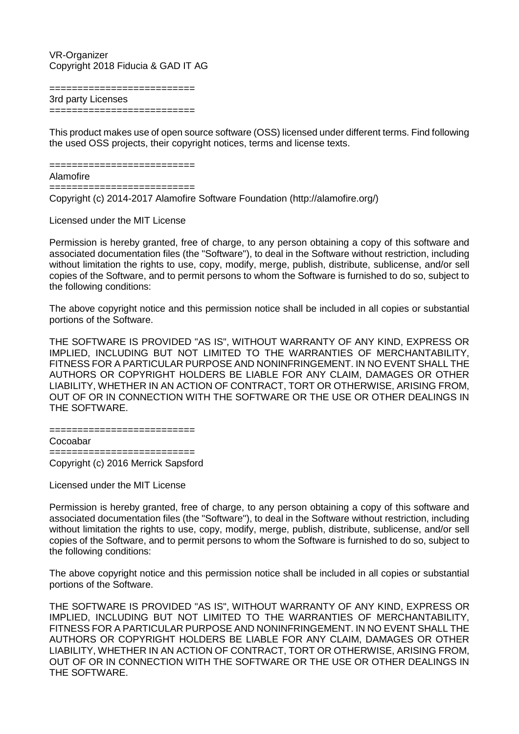## VR-Organizer Copyright 2018 Fiducia & GAD IT AG

======================== 3rd party Licenses ==========================

This product makes use of open source software (OSS) licensed under different terms. Find following the used OSS projects, their copyright notices, terms and license texts.

==========================

## Alamofire

==========================

Copyright (c) 2014-2017 Alamofire Software Foundation (http://alamofire.org/)

Licensed under the MIT License

Permission is hereby granted, free of charge, to any person obtaining a copy of this software and associated documentation files (the "Software"), to deal in the Software without restriction, including without limitation the rights to use, copy, modify, merge, publish, distribute, sublicense, and/or sell copies of the Software, and to permit persons to whom the Software is furnished to do so, subject to the following conditions:

The above copyright notice and this permission notice shall be included in all copies or substantial portions of the Software.

THE SOFTWARE IS PROVIDED "AS IS", WITHOUT WARRANTY OF ANY KIND, EXPRESS OR IMPLIED, INCLUDING BUT NOT LIMITED TO THE WARRANTIES OF MERCHANTABILITY, FITNESS FOR A PARTICULAR PURPOSE AND NONINFRINGEMENT. IN NO EVENT SHALL THE AUTHORS OR COPYRIGHT HOLDERS BE LIABLE FOR ANY CLAIM, DAMAGES OR OTHER LIABILITY, WHETHER IN AN ACTION OF CONTRACT, TORT OR OTHERWISE, ARISING FROM, OUT OF OR IN CONNECTION WITH THE SOFTWARE OR THE USE OR OTHER DEALINGS IN THE SOFTWARE.

==========================

Cocoabar

========================== Copyright (c) 2016 Merrick Sapsford

Licensed under the MIT License

Permission is hereby granted, free of charge, to any person obtaining a copy of this software and associated documentation files (the "Software"), to deal in the Software without restriction, including without limitation the rights to use, copy, modify, merge, publish, distribute, sublicense, and/or sell copies of the Software, and to permit persons to whom the Software is furnished to do so, subject to the following conditions:

The above copyright notice and this permission notice shall be included in all copies or substantial portions of the Software.

THE SOFTWARE IS PROVIDED "AS IS", WITHOUT WARRANTY OF ANY KIND, EXPRESS OR IMPLIED, INCLUDING BUT NOT LIMITED TO THE WARRANTIES OF MERCHANTABILITY, FITNESS FOR A PARTICULAR PURPOSE AND NONINFRINGEMENT. IN NO EVENT SHALL THE AUTHORS OR COPYRIGHT HOLDERS BE LIABLE FOR ANY CLAIM, DAMAGES OR OTHER LIABILITY, WHETHER IN AN ACTION OF CONTRACT, TORT OR OTHERWISE, ARISING FROM, OUT OF OR IN CONNECTION WITH THE SOFTWARE OR THE USE OR OTHER DEALINGS IN THE SOFTWARE.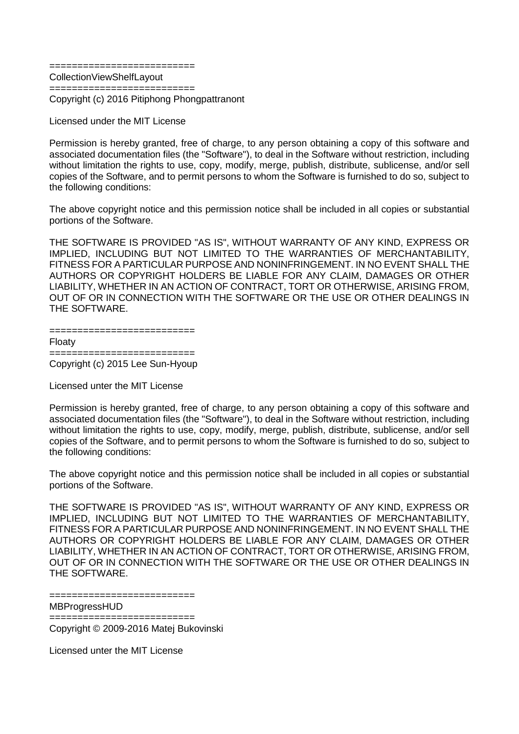==========================

CollectionViewShelfLayout ==========================

Copyright (c) 2016 Pitiphong Phongpattranont

Licensed under the MIT License

Permission is hereby granted, free of charge, to any person obtaining a copy of this software and associated documentation files (the "Software"), to deal in the Software without restriction, including without limitation the rights to use, copy, modify, merge, publish, distribute, sublicense, and/or sell copies of the Software, and to permit persons to whom the Software is furnished to do so, subject to the following conditions:

The above copyright notice and this permission notice shall be included in all copies or substantial portions of the Software.

THE SOFTWARE IS PROVIDED "AS IS", WITHOUT WARRANTY OF ANY KIND, EXPRESS OR IMPLIED, INCLUDING BUT NOT LIMITED TO THE WARRANTIES OF MERCHANTABILITY, FITNESS FOR A PARTICULAR PURPOSE AND NONINFRINGEMENT. IN NO EVENT SHALL THE AUTHORS OR COPYRIGHT HOLDERS BE LIABLE FOR ANY CLAIM, DAMAGES OR OTHER LIABILITY, WHETHER IN AN ACTION OF CONTRACT, TORT OR OTHERWISE, ARISING FROM, OUT OF OR IN CONNECTION WITH THE SOFTWARE OR THE USE OR OTHER DEALINGS IN THE SOFTWARE.

| Floaty                             |
|------------------------------------|
|                                    |
| $Convight(a) 2015$ Lee $SUB$ Hyern |

Copyright (c) 2015 Lee Sun-Hyoup

Licensed unter the MIT License

Permission is hereby granted, free of charge, to any person obtaining a copy of this software and associated documentation files (the "Software"), to deal in the Software without restriction, including without limitation the rights to use, copy, modify, merge, publish, distribute, sublicense, and/or sell copies of the Software, and to permit persons to whom the Software is furnished to do so, subject to the following conditions:

The above copyright notice and this permission notice shall be included in all copies or substantial portions of the Software.

THE SOFTWARE IS PROVIDED "AS IS", WITHOUT WARRANTY OF ANY KIND, EXPRESS OR IMPLIED, INCLUDING BUT NOT LIMITED TO THE WARRANTIES OF MERCHANTABILITY, FITNESS FOR A PARTICULAR PURPOSE AND NONINFRINGEMENT. IN NO EVENT SHALL THE AUTHORS OR COPYRIGHT HOLDERS BE LIABLE FOR ANY CLAIM, DAMAGES OR OTHER LIABILITY, WHETHER IN AN ACTION OF CONTRACT, TORT OR OTHERWISE, ARISING FROM, OUT OF OR IN CONNECTION WITH THE SOFTWARE OR THE USE OR OTHER DEALINGS IN THE SOFTWARE.

============================ MBProgressHUD

============================

Copyright © 2009-2016 Matej Bukovinski

Licensed unter the MIT License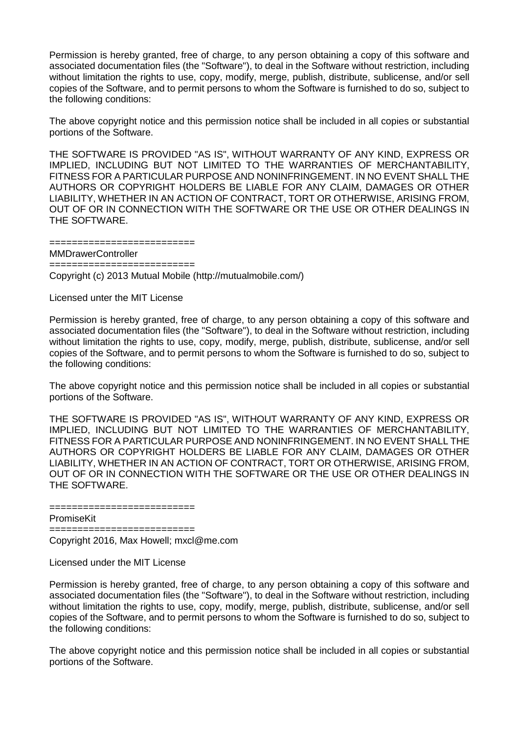Permission is hereby granted, free of charge, to any person obtaining a copy of this software and associated documentation files (the "Software"), to deal in the Software without restriction, including without limitation the rights to use, copy, modify, merge, publish, distribute, sublicense, and/or sell copies of the Software, and to permit persons to whom the Software is furnished to do so, subject to the following conditions:

The above copyright notice and this permission notice shall be included in all copies or substantial portions of the Software.

THE SOFTWARE IS PROVIDED "AS IS", WITHOUT WARRANTY OF ANY KIND, EXPRESS OR IMPLIED, INCLUDING BUT NOT LIMITED TO THE WARRANTIES OF MERCHANTABILITY, FITNESS FOR A PARTICULAR PURPOSE AND NONINFRINGEMENT. IN NO EVENT SHALL THE AUTHORS OR COPYRIGHT HOLDERS BE LIABLE FOR ANY CLAIM, DAMAGES OR OTHER LIABILITY, WHETHER IN AN ACTION OF CONTRACT, TORT OR OTHERWISE, ARISING FROM, OUT OF OR IN CONNECTION WITH THE SOFTWARE OR THE USE OR OTHER DEALINGS IN THE SOFTWARE.

==========================

MMDrawerController

==========================

Copyright (c) 2013 Mutual Mobile (http://mutualmobile.com/)

Licensed unter the MIT License

Permission is hereby granted, free of charge, to any person obtaining a copy of this software and associated documentation files (the "Software"), to deal in the Software without restriction, including without limitation the rights to use, copy, modify, merge, publish, distribute, sublicense, and/or sell copies of the Software, and to permit persons to whom the Software is furnished to do so, subject to the following conditions:

The above copyright notice and this permission notice shall be included in all copies or substantial portions of the Software.

THE SOFTWARE IS PROVIDED "AS IS", WITHOUT WARRANTY OF ANY KIND, EXPRESS OR IMPLIED, INCLUDING BUT NOT LIMITED TO THE WARRANTIES OF MERCHANTABILITY, FITNESS FOR A PARTICULAR PURPOSE AND NONINFRINGEMENT. IN NO EVENT SHALL THE AUTHORS OR COPYRIGHT HOLDERS BE LIABLE FOR ANY CLAIM, DAMAGES OR OTHER LIABILITY, WHETHER IN AN ACTION OF CONTRACT, TORT OR OTHERWISE, ARISING FROM, OUT OF OR IN CONNECTION WITH THE SOFTWARE OR THE USE OR OTHER DEALINGS IN THE SOFTWARE.

PromiseKit

==========================

Copyright 2016, Max Howell; mxcl@me.com

===================

Licensed under the MIT License

Permission is hereby granted, free of charge, to any person obtaining a copy of this software and associated documentation files (the "Software"), to deal in the Software without restriction, including without limitation the rights to use, copy, modify, merge, publish, distribute, sublicense, and/or sell copies of the Software, and to permit persons to whom the Software is furnished to do so, subject to the following conditions:

The above copyright notice and this permission notice shall be included in all copies or substantial portions of the Software.